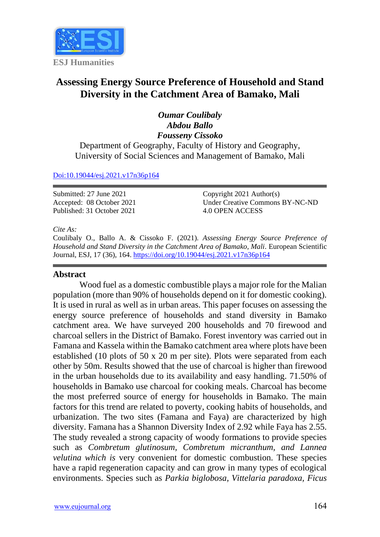

# **Assessing Energy Source Preference of Household and Stand Diversity in the Catchment Area of Bamako, Mali**

# *Oumar Coulibaly Abdou Ballo Fousseny Cissoko*

Department of Geography, Faculty of History and Geography, University of Social Sciences and Management of Bamako, Mali

#### [Doi:10.19044/esj.2021.v17n36p164](https://doi.org/10.19044/esj.2021.v17n36p164)

Submitted: 27 June 2021 Accepted: 08 October 2021 Published: 31 October 2021

Copyright 2021 Author(s) Under Creative Commons BY-NC-ND 4.0 OPEN ACCESS

#### *Cite As:*

Coulibaly O., Ballo A. & Cissoko F. (2021). *Assessing Energy Source Preference of Household and Stand Diversity in the Catchment Area of Bamako, Mali.* European Scientific Journal, ESJ, 17 (36), 164. <https://doi.org/10.19044/esj.2021.v17n36p164>

# **Abstract**

Wood fuel as a domestic combustible plays a major role for the Malian population (more than 90% of households depend on it for domestic cooking). It is used in rural as well as in urban areas. This paper focuses on assessing the energy source preference of households and stand diversity in Bamako catchment area. We have surveyed 200 households and 70 firewood and charcoal sellers in the District of Bamako. Forest inventory was carried out in Famana and Kassela within the Bamako catchment area where plots have been established (10 plots of 50 x 20 m per site). Plots were separated from each other by 50m. Results showed that the use of charcoal is higher than firewood in the urban households due to its availability and easy handling. 71.50% of households in Bamako use charcoal for cooking meals. Charcoal has become the most preferred source of energy for households in Bamako. The main factors for this trend are related to poverty, cooking habits of households, and urbanization. The two sites (Famana and Faya) are characterized by high diversity. Famana has a Shannon Diversity Index of 2.92 while Faya has 2.55. The study revealed a strong capacity of woody formations to provide species such as *Combretum glutinosum, Combretum micranthum, and Lannea velutina which is* very convenient for domestic combustion. These species have a rapid regeneration capacity and can grow in many types of ecological environments. Species such as *Parkia biglobosa, Vittelaria paradoxa, Ficus*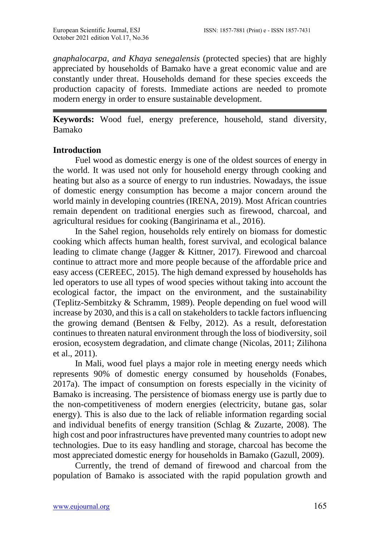*gnaphalocarpa, and Khaya senegalensis* (protected species) that are highly appreciated by households of Bamako have a great economic value and are constantly under threat. Households demand for these species exceeds the production capacity of forests. Immediate actions are needed to promote modern energy in order to ensure sustainable development.

**Keywords:** Wood fuel, energy preference, household, stand diversity, Bamako

### **Introduction**

 Fuel wood as domestic energy is one of the oldest sources of energy in the world. It was used not only for household energy through cooking and heating but also as a source of energy to run industries. Nowadays, the issue of domestic energy consumption has become a major concern around the world mainly in developing countries (IRENA, 2019). Most African countries remain dependent on traditional energies such as firewood, charcoal, and agricultural residues for cooking (Bangirinama et al., 2016).

 In the Sahel region, households rely entirely on biomass for domestic cooking which affects human health, forest survival, and ecological balance leading to climate change (Jagger & Kittner, 2017). Firewood and charcoal continue to attract more and more people because of the affordable price and easy access (CEREEC, 2015). The high demand expressed by households has led operators to use all types of wood species without taking into account the ecological factor, the impact on the environment, and the sustainability (Teplitz-Sembitzky & Schramm, 1989). People depending on fuel wood will increase by 2030, and this is a call on stakeholders to tackle factors influencing the growing demand (Bentsen & Felby, 2012). As a result, deforestation continues to threaten natural environment through the loss of biodiversity, soil erosion, ecosystem degradation, and climate change (Nicolas, 2011; Zilihona et al., 2011).

 In Mali, wood fuel plays a major role in meeting energy needs which represents 90% of domestic energy consumed by households (Fonabes, 2017a). The impact of consumption on forests especially in the vicinity of Bamako is increasing. The persistence of biomass energy use is partly due to the non-competitiveness of modern energies (electricity, butane gas, solar energy). This is also due to the lack of reliable information regarding social and individual benefits of energy transition (Schlag & Zuzarte, 2008). The high cost and poor infrastructures have prevented many countries to adopt new technologies. Due to its easy handling and storage, charcoal has become the most appreciated domestic energy for households in Bamako (Gazull, 2009).

 Currently, the trend of demand of firewood and charcoal from the population of Bamako is associated with the rapid population growth and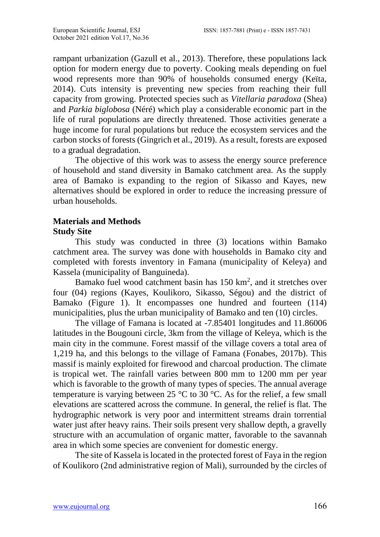rampant urbanization (Gazull et al., 2013). Therefore, these populations lack option for modern energy due to poverty. Cooking meals depending on fuel wood represents more than 90% of households consumed energy (Keïta, 2014). Cuts intensity is preventing new species from reaching their full capacity from growing. Protected species such as *Vitellaria paradoxa* (Shea) and *Parkia biglobosa* (Néré) which play a considerable economic part in the life of rural populations are directly threatened. Those activities generate a huge income for rural populations but reduce the ecosystem services and the carbon stocks of forests (Gingrich et al., 2019). As a result, forests are exposed to a gradual degradation.

 The objective of this work was to assess the energy source preference of household and stand diversity in Bamako catchment area. As the supply area of Bamako is expanding to the region of Sikasso and Kayes, new alternatives should be explored in order to reduce the increasing pressure of urban households.

# **Materials and Methods Study Site**

 This study was conducted in three (3) locations within Bamako catchment area. The survey was done with households in Bamako city and completed with forests inventory in Famana (municipality of Keleya) and Kassela (municipality of Banguineda).

Bamako fuel wood catchment basin has  $150 \text{ km}^2$ , and it stretches over four (04) regions (Kayes, Koulikoro, Sikasso, Ségou) and the district of Bamako (Figure 1). It encompasses one hundred and fourteen (114) municipalities, plus the urban municipality of Bamako and ten (10) circles.

 The village of Famana is located at -7.85401 longitudes and 11.86006 latitudes in the Bougouni circle, 3km from the village of Keleya, which is the main city in the commune. Forest massif of the village covers a total area of 1,219 ha, and this belongs to the village of Famana (Fonabes, 2017b). This massif is mainly exploited for firewood and charcoal production. The climate is tropical wet. The rainfall varies between 800 mm to 1200 mm per year which is favorable to the growth of many types of species. The annual average temperature is varying between 25 °C to 30 °C. As for the relief, a few small elevations are scattered across the commune. In general, the relief is flat. The hydrographic network is very poor and intermittent streams drain torrential water just after heavy rains. Their soils present very shallow depth, a gravelly structure with an accumulation of organic matter, favorable to the savannah area in which some species are convenient for domestic energy.

 The site of Kassela is located in the protected forest of Faya in the region of Koulikoro (2nd administrative region of Mali), surrounded by the circles of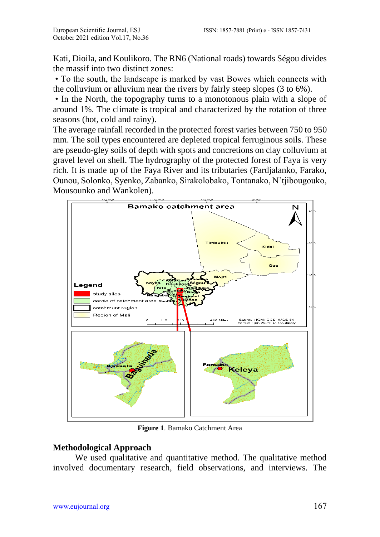Kati, Dioila, and Koulikoro. The RN6 (National roads) towards Ségou divides the massif into two distinct zones:

• To the south, the landscape is marked by vast Bowes which connects with the colluvium or alluvium near the rivers by fairly steep slopes (3 to 6%).

• In the North, the topography turns to a monotonous plain with a slope of around 1%. The climate is tropical and characterized by the rotation of three seasons (hot, cold and rainy).

The average rainfall recorded in the protected forest varies between 750 to 950 mm. The soil types encountered are depleted tropical ferruginous soils. These are pseudo-gley soils of depth with spots and concretions on clay colluvium at gravel level on shell. The hydrography of the protected forest of Faya is very rich. It is made up of the Faya River and its tributaries (Fardjalanko, Farako, Ounou, Solonko, Syenko, Zabanko, Sirakolobako, Tontanako, N'tjibougouko, Mousounko and Wankolen).



**Figure 1**. Bamako Catchment Area

## **Methodological Approach**

 We used qualitative and quantitative method. The qualitative method involved documentary research, field observations, and interviews. The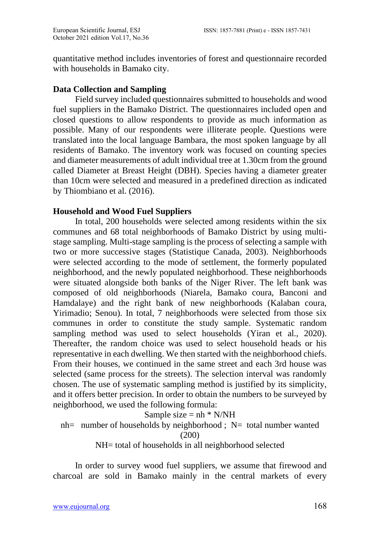quantitative method includes inventories of forest and questionnaire recorded with households in Bamako city.

### **Data Collection and Sampling**

 Field survey included questionnaires submitted to households and wood fuel suppliers in the Bamako District. The questionnaires included open and closed questions to allow respondents to provide as much information as possible. Many of our respondents were illiterate people. Questions were translated into the local language Bambara, the most spoken language by all residents of Bamako. The inventory work was focused on counting species and diameter measurements of adult individual tree at 1.30cm from the ground called Diameter at Breast Height (DBH). Species having a diameter greater than 10cm were selected and measured in a predefined direction as indicated by Thiombiano et al. (2016).

### **Household and Wood Fuel Suppliers**

 In total, 200 households were selected among residents within the six communes and 68 total neighborhoods of Bamako District by using multistage sampling. Multi-stage sampling is the process of selecting a sample with two or more successive stages (Statistique Canada, 2003). Neighborhoods were selected according to the mode of settlement, the formerly populated neighborhood, and the newly populated neighborhood. These neighborhoods were situated alongside both banks of the Niger River. The left bank was composed of old neighborhoods (Niarela, Bamako coura, Banconi and Hamdalaye) and the right bank of new neighborhoods (Kalaban coura, Yirimadio; Senou). In total, 7 neighborhoods were selected from those six communes in order to constitute the study sample. Systematic random sampling method was used to select households (Yiran et al., 2020). Thereafter, the random choice was used to select household heads or his representative in each dwelling. We then started with the neighborhood chiefs. From their houses, we continued in the same street and each 3rd house was selected (same process for the streets). The selection interval was randomly chosen. The use of systematic sampling method is justified by its simplicity, and it offers better precision. In order to obtain the numbers to be surveyed by neighborhood, we used the following formula:

Sample size = 
$$
nh * N/NH
$$
  
nh= number of households by neighborhood; N= total number wanted  
(200)  
NH= total of households in all neighborhood selected

 In order to survey wood fuel suppliers, we assume that firewood and charcoal are sold in Bamako mainly in the central markets of every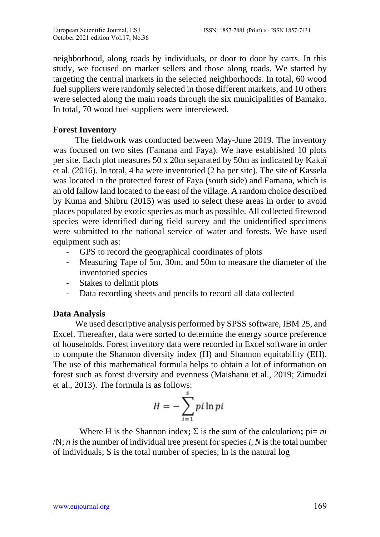neighborhood, along roads by individuals, or door to door by carts. In this study, we focused on market sellers and those along roads. We started by targeting the central markets in the selected neighborhoods. In total, 60 wood fuel suppliers were randomly selected in those different markets, and 10 others were selected along the main roads through the six municipalities of Bamako. In total, 70 wood fuel suppliers were interviewed.

# **Forest Inventory**

 The fieldwork was conducted between May-June 2019. The inventory was focused on two sites (Famana and Faya). We have established 10 plots per site. Each plot measures 50 x 20m separated by 50m as indicated by Kakaï et al. (2016). In total, 4 ha were inventoried (2 ha per site). The site of Kassela was located in the protected forest of Faya (south side) and Famana, which is an old fallow land located to the east of the village. A random choice described by Kuma and Shibru (2015) was used to select these areas in order to avoid places populated by exotic species as much as possible. All collected firewood species were identified during field survey and the unidentified specimens were submitted to the national service of water and forests. We have used equipment such as:

- GPS to record the geographical coordinates of plots
- Measuring Tape of 5m, 30m, and 50m to measure the diameter of the inventoried species
- Stakes to delimit plots
- Data recording sheets and pencils to record all data collected

## **Data Analysis**

 We used descriptive analysis performed by SPSS software, IBM 25, and Excel. Thereafter, data were sorted to determine the energy source preference of households. Forest inventory data were recorded in Excel software in order to compute the Shannon diversity index (H) and Shannon equitability (EH). The use of this mathematical formula helps to obtain a lot of information on forest such as forest diversity and evenness (Maishanu et al., 2019; Zimudzi et al., 2013). The formula is as follows:

$$
H = -\sum_{i=1}^{s} pi \ln pi
$$

Where H is the Shannon index;  $\Sigma$  is the sum of the calculation;  $pi = ni$  $/N$ ; *n* is the number of individual tree present for species *i*, *N* is the total number of individuals; S is the total number of species; ln is the natural log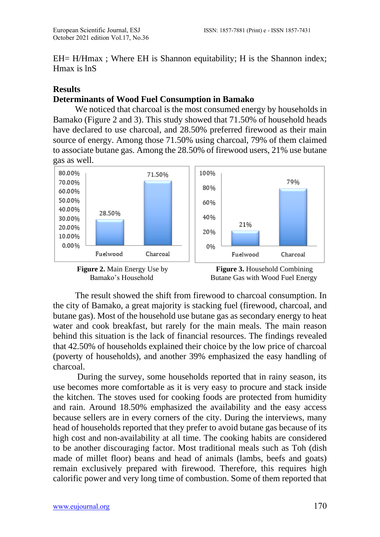EH= H/Hmax ; Where EH is Shannon equitability; H is the Shannon index; Hmax is lnS

# **Results**

# **Determinants of Wood Fuel Consumption in Bamako**

 We noticed that charcoal is the most consumed energy by households in Bamako (Figure 2 and 3). This study showed that 71.50% of household heads have declared to use charcoal, and 28.50% preferred firewood as their main source of energy. Among those 71.50% using charcoal, 79% of them claimed to associate butane gas. Among the 28.50% of firewood users, 21% use butane gas as well.





 The result showed the shift from firewood to charcoal consumption. In the city of Bamako, a great majority is stacking fuel (firewood, charcoal, and butane gas). Most of the household use butane gas as secondary energy to heat water and cook breakfast, but rarely for the main meals. The main reason behind this situation is the lack of financial resources. The findings revealed that 42.50% of households explained their choice by the low price of charcoal (poverty of households), and another 39% emphasized the easy handling of charcoal.

 During the survey, some households reported that in rainy season, its use becomes more comfortable as it is very easy to procure and stack inside the kitchen. The stoves used for cooking foods are protected from humidity and rain. Around 18.50% emphasized the availability and the easy access because sellers are in every corners of the city. During the interviews, many head of households reported that they prefer to avoid butane gas because of its high cost and non-availability at all time. The cooking habits are considered to be another discouraging factor. Most traditional meals such as Toh (dish made of millet floor) beans and head of animals (lambs, beefs and goats) remain exclusively prepared with firewood. Therefore, this requires high calorific power and very long time of combustion. Some of them reported that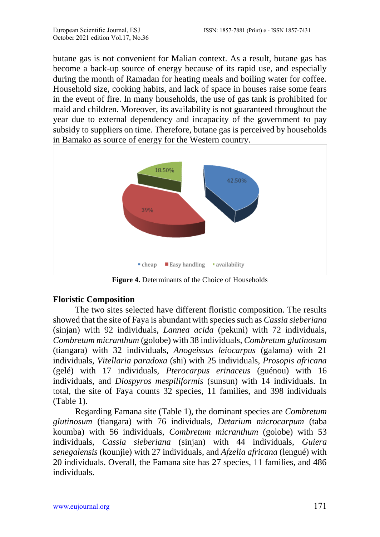butane gas is not convenient for Malian context. As a result, butane gas has become a back-up source of energy because of its rapid use, and especially during the month of Ramadan for heating meals and boiling water for coffee. Household size, cooking habits, and lack of space in houses raise some fears in the event of fire. In many households, the use of gas tank is prohibited for maid and children. Moreover, its availability is not guaranteed throughout the year due to external dependency and incapacity of the government to pay subsidy to suppliers on time. Therefore, butane gas is perceived by households in Bamako as source of energy for the Western country.



**Figure 4.** Determinants of the Choice of Households

## **Floristic Composition**

 The two sites selected have different floristic composition. The results showed that the site of Faya is abundant with species such as *Cassia sieberiana* (sinjan) with 92 individuals, *Lannea acida* (pekuni) with 72 individuals, *Combretum micranthum* (golobe) with 38 individuals, *Combretum glutinosum* (tiangara) with 32 individuals, *Anogeissus leiocarpus* (galama) with 21 individuals, *Vitellaria paradoxa* (shi) with 25 individuals, *Prosopis africana* (gelé) with 17 individuals, *Pterocarpus erinaceus* (guénou) with 16 individuals, and *Diospyros mespiliformis* (sunsun) with 14 individuals. In total, the site of Faya counts 32 species, 11 families, and 398 individuals (Table 1).

 Regarding Famana site (Table 1), the dominant species are *Combretum glutinosum* (tiangara) with 76 individuals, *Detarium microcarpum* (taba koumba) with 56 individuals, *Combretum micranthum* (golobe) with 53 individuals, *Cassia sieberiana* (sinjan) with 44 individuals, *Guiera senegalensis* (kounjie) with 27 individuals, and *Afzelia africana* (lengué) with 20 individuals. Overall, the Famana site has 27 species, 11 families, and 486 individuals.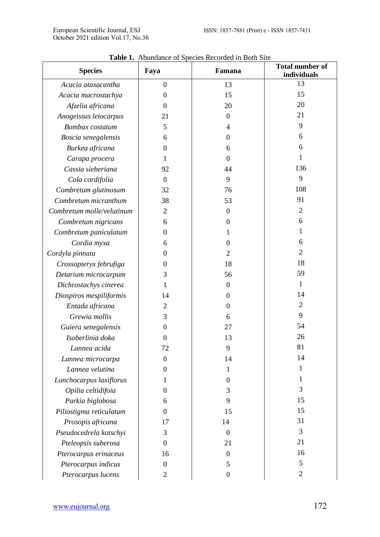| <b>Species</b>            | Faya             | Famana           | <b>Total number of</b><br>individuals |
|---------------------------|------------------|------------------|---------------------------------------|
| Acacia ataxacantha        | $\overline{0}$   | 13               | 13                                    |
| Acacia macrostachya       | $\mathbf{0}$     | 15               | 15                                    |
| Afzelia africana          | $\mathbf{0}$     | 20               | 20                                    |
| Anogeissus leiocarpus     | 21               | $\mathbf{0}$     | 21                                    |
| Bombax costatum           | 5                | 4                | 9                                     |
| Boscia senegalensis       | 6                | $\overline{0}$   | 6                                     |
| Burkea africana           | 0                | 6                | 6                                     |
| Carapa procera            | 1                | $\Omega$         | 1                                     |
| Cassia sieberiana         | 92               | 44               | 136                                   |
| Cola cordifolia           | $\mathbf{0}$     | 9                | 9                                     |
| Combretum glutinosum      | 32               | 76               | 108                                   |
| Combretum micranthum      | 38               | 53               | 91                                    |
| Combretum molle/velutinum | 2                | $\mathbf{0}$     | 2                                     |
| Combretum nigricans       | 6                | $\overline{0}$   | 6                                     |
| Combretum paniculatum     | 0                | 1                | 1                                     |
| Cordia myxa               | 6                | $\overline{0}$   | 6                                     |
| Cordyla pinnata           | 0                | $\overline{c}$   | 2                                     |
| Crossopteryx februfiga    | 0                | 18               | 18                                    |
| Detarium microcarpum      | 3                | 56               | 59                                    |
| Dichrostachys cinerea     | 1                | $\overline{0}$   | $\mathbf{1}$                          |
| Diospiros mespiliformis   | 14               | $\overline{0}$   | 14                                    |
| Entada africana           | 2                | 0                | 2                                     |
| Grewia mollis             | 3                | 6                | 9                                     |
| Guiera senegalensis       | $\mathbf{0}$     | 27               | 54                                    |
| Isoberlinia doka          | $\theta$         | 13               | 26                                    |
| Lannea acida              | 72               | 9                | 81                                    |
| Lannea microcarpa         | $\mathbf{0}$     | 14               | 14                                    |
| Lannea velutina           | 0                | 1                | 1                                     |
| Lonchocarpus laxiflorus   | 1                | $\overline{0}$   | 1                                     |
| Opilia celtidifoia        | $\theta$         | 3                | 3                                     |
| Parkia biglobosa          | 6                | 9                | 15                                    |
| Piliostigma reticulatum   | $\boldsymbol{0}$ | 15               | 15                                    |
| Prosopis africana         | 17               | 14               | 31                                    |
| Pseudocedrela kotschyi    | 3                | $\mathbf{0}$     | 3                                     |
| Pteleopsis suberosa       | $\overline{0}$   | 21               | 21                                    |
| Pterocarpus erinaceus     | 16               | $\boldsymbol{0}$ | 16                                    |
| Pterocarpus indicus       | $\boldsymbol{0}$ | 5                | 5                                     |
| Pterocarpus lucens        | $\overline{2}$   | $\boldsymbol{0}$ | $\boldsymbol{2}$                      |

**Table 1.** Abundance of Species Recorded in Both Site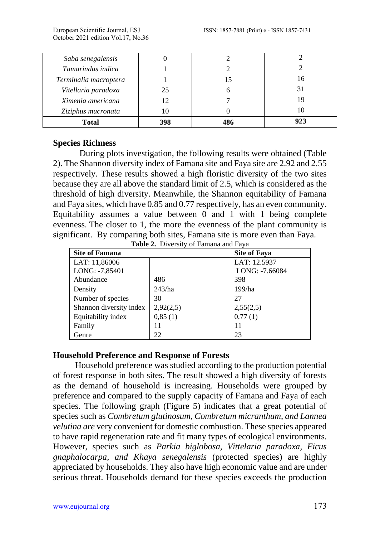| Saba senegalensis     |     |     |     |
|-----------------------|-----|-----|-----|
| Tamarindus indica     |     |     |     |
| Terminalia macroptera |     |     | 16  |
| Vitellaria paradoxa   | 25  |     | 31  |
| Ximenia americana     | 12  |     | 19  |
| Ziziphus mucronata    |     |     |     |
| <b>Total</b>          | 398 | 486 | 923 |

# **Species Richness**

During plots investigation, the following results were obtained (Table 2). The Shannon diversity index of Famana site and Faya site are 2.92 and 2.55 respectively. These results showed a high floristic diversity of the two sites because they are all above the standard limit of 2.5, which is considered as the threshold of high diversity. Meanwhile, the Shannon equitability of Famana and Faya sites, which have 0.85 and 0.77 respectively, has an even community. Equitability assumes a value between  $\overline{0}$  and  $\overline{1}$  with  $\overline{1}$  being complete evenness. The closer to 1, the more the evenness of the plant community is significant. By comparing both sites, Famana site is more even than Faya. **Table 2.** Diversity of Famana and Faya

| <b>Site of Famana</b>   |           | <b>Site of Faya</b> |  |  |  |
|-------------------------|-----------|---------------------|--|--|--|
| LAT: 11,86006           |           | LAT: 12.5937        |  |  |  |
| LONG: -7,85401          |           | LONG: -7.66084      |  |  |  |
| Abundance               | 486       | 398                 |  |  |  |
| Density                 | 243/ha    | 199/ha              |  |  |  |
| Number of species       | 30        | 27                  |  |  |  |
| Shannon diversity index | 2,92(2,5) | 2,55(2,5)           |  |  |  |
| Equitability index      | 0,85(1)   | 0,77(1)             |  |  |  |
| Family                  | 11        | 11                  |  |  |  |
| Genre                   | 22        | 23                  |  |  |  |

# **Household Preference and Response of Forests**

 Household preference was studied according to the production potential of forest response in both sites. The result showed a high diversity of forests as the demand of household is increasing. Households were grouped by preference and compared to the supply capacity of Famana and Faya of each species. The following graph (Figure 5) indicates that a great potential of species such as *Combretum glutinosum, Combretum micranthum, and Lannea velutina are* very convenient for domestic combustion. These species appeared to have rapid regeneration rate and fit many types of ecological environments. However, species such as *Parkia biglobosa, Vittelaria paradoxa, Ficus gnaphalocarpa, and Khaya senegalensis* (protected species) are highly appreciated by households. They also have high economic value and are under serious threat. Households demand for these species exceeds the production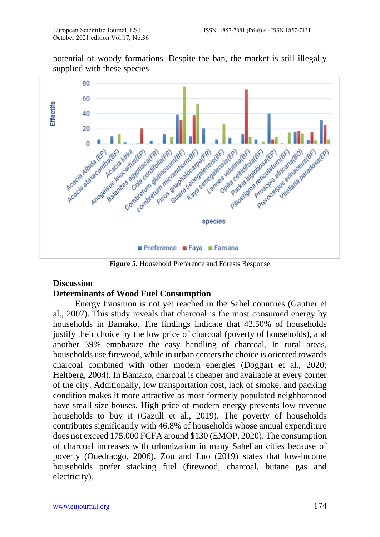potential of woody formations. Despite the ban, the market is still illegally supplied with these species.



**Figure 5.** Household Preference and Forests Response

#### **Discussion**

#### **Determinants of Wood Fuel Consumption**

 Energy transition is not yet reached in the Sahel countries (Gautier et al., 2007). This study reveals that charcoal is the most consumed energy by households in Bamako. The findings indicate that 42.50% of households justify their choice by the low price of charcoal (poverty of households), and another 39% emphasize the easy handling of charcoal. In rural areas, households use firewood, while in urban centers the choice is oriented towards charcoal combined with other modern energies (Doggart et al., 2020; Heltberg, 2004). In Bamako, charcoal is cheaper and available at every corner of the city. Additionally, low transportation cost, lack of smoke, and packing condition makes it more attractive as most formerly populated neighborhood have small size houses. High price of modern energy prevents low revenue households to buy it (Gazull et al., 2019). The poverty of households contributes significantly with 46.8% of households whose annual expenditure does not exceed 175,000 FCFA around \$130 (EMOP, 2020). The consumption of charcoal increases with urbanization in many Sahelian cities because of poverty (Ouedraogo, 2006). Zou and Luo (2019) states that low-income households prefer stacking fuel (firewood, charcoal, butane gas and electricity).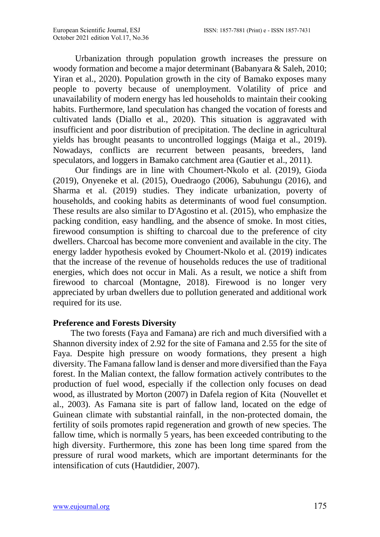Urbanization through population growth increases the pressure on woody formation and become a major determinant (Babanyara & Saleh, 2010; Yiran et al., 2020). Population growth in the city of Bamako exposes many people to poverty because of unemployment. Volatility of price and unavailability of modern energy has led households to maintain their cooking habits. Furthermore, land speculation has changed the vocation of forests and cultivated lands (Diallo et al., 2020). This situation is aggravated with insufficient and poor distribution of precipitation. The decline in agricultural yields has brought peasants to uncontrolled loggings (Maiga et al., 2019). Nowadays, conflicts are recurrent between peasants, breeders, land speculators, and loggers in Bamako catchment area (Gautier et al., 2011).

 Our findings are in line with Choumert-Nkolo et al. (2019), Gioda (2019), Onyeneke et al. (2015), Ouedraogo (2006), Sabuhungu (2016), and Sharma et al. (2019) studies. They indicate urbanization, poverty of households, and cooking habits as determinants of wood fuel consumption. These results are also similar to D'Agostino et al. (2015), who emphasize the packing condition, easy handling, and the absence of smoke. In most cities, firewood consumption is shifting to charcoal due to the preference of city dwellers. Charcoal has become more convenient and available in the city. The energy ladder hypothesis evoked by Choumert-Nkolo et al. (2019) indicates that the increase of the revenue of households reduces the use of traditional energies, which does not occur in Mali. As a result, we notice a shift from firewood to charcoal (Montagne, 2018). Firewood is no longer very appreciated by urban dwellers due to pollution generated and additional work required for its use.

## **Preference and Forests Diversity**

 The two forests (Faya and Famana) are rich and much diversified with a Shannon diversity index of 2.92 for the site of Famana and 2.55 for the site of Faya. Despite high pressure on woody formations, they present a high diversity. The Famana fallow land is denser and more diversified than the Faya forest. In the Malian context, the fallow formation actively contributes to the production of fuel wood, especially if the collection only focuses on dead wood, as illustrated by Morton (2007) in Dafela region of Kita (Nouvellet et al., 2003). As Famana site is part of fallow land, located on the edge of Guinean climate with substantial rainfall, in the non-protected domain, the fertility of soils promotes rapid regeneration and growth of new species. The fallow time, which is normally 5 years, has been exceeded contributing to the high diversity. Furthermore, this zone has been long time spared from the pressure of rural wood markets, which are important determinants for the intensification of cuts (Hautdidier, 2007).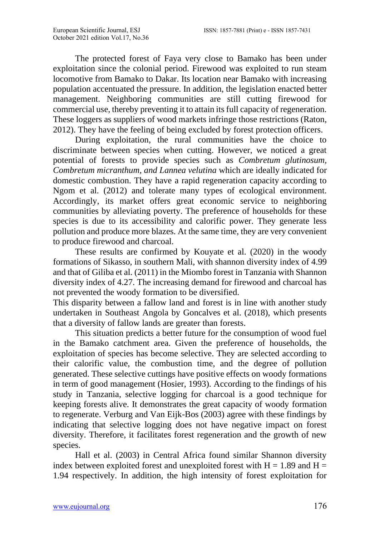The protected forest of Faya very close to Bamako has been under exploitation since the colonial period. Firewood was exploited to run steam locomotive from Bamako to Dakar. Its location near Bamako with increasing population accentuated the pressure. In addition, the legislation enacted better management. Neighboring communities are still cutting firewood for commercial use, thereby preventing it to attain its full capacity of regeneration. These loggers as suppliers of wood markets infringe those restrictions (Raton, 2012). They have the feeling of being excluded by forest protection officers.

 During exploitation, the rural communities have the choice to discriminate between species when cutting. However, we noticed a great potential of forests to provide species such as *Combretum glutinosum, Combretum micranthum, and Lannea velutina* which are ideally indicated for domestic combustion. They have a rapid regeneration capacity according to Ngom et al. (2012) and tolerate many types of ecological environment. Accordingly, its market offers great economic service to neighboring communities by alleviating poverty. The preference of households for these species is due to its accessibility and calorific power. They generate less pollution and produce more blazes. At the same time, they are very convenient to produce firewood and charcoal.

 These results are confirmed by Kouyate et al. (2020) in the woody formations of Sikasso, in southern Mali, with shannon diversity index of 4.99 and that of Giliba et al. (2011) in the Miombo forest in Tanzania with Shannon diversity index of 4.27. The increasing demand for firewood and charcoal has not prevented the woody formation to be diversified.

This disparity between a fallow land and forest is in line with another study undertaken in Southeast Angola by Goncalves et al. (2018), which presents that a diversity of fallow lands are greater than forests.

 This situation predicts a better future for the consumption of wood fuel in the Bamako catchment area. Given the preference of households, the exploitation of species has become selective. They are selected according to their calorific value, the combustion time, and the degree of pollution generated. These selective cuttings have positive effects on woody formations in term of good management (Hosier, 1993). According to the findings of his study in Tanzania, selective logging for charcoal is a good technique for keeping forests alive. It demonstrates the great capacity of woody formation to regenerate. Verburg and Van Eijk-Bos (2003) agree with these findings by indicating that selective logging does not have negative impact on forest diversity. Therefore, it facilitates forest regeneration and the growth of new species.

 Hall et al. (2003) in Central Africa found similar Shannon diversity index between exploited forest and unexploited forest with  $H = 1.89$  and  $H =$ 1.94 respectively. In addition, the high intensity of forest exploitation for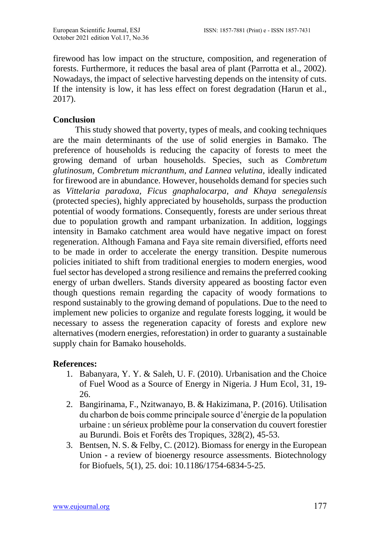firewood has low impact on the structure, composition, and regeneration of forests. Furthermore, it reduces the basal area of plant (Parrotta et al., 2002). Nowadays, the impact of selective harvesting depends on the intensity of cuts. If the intensity is low, it has less effect on forest degradation (Harun et al., 2017).

# **Conclusion**

 This study showed that poverty, types of meals, and cooking techniques are the main determinants of the use of solid energies in Bamako. The preference of households is reducing the capacity of forests to meet the growing demand of urban households. Species, such as *Combretum glutinosum, Combretum micranthum, and Lannea velutina,* ideally indicated for firewood are in abundance. However, households demand for species such as *Vittelaria paradoxa, Ficus gnaphalocarpa, and Khaya senegalensis*  (protected species), highly appreciated by households, surpass the production potential of woody formations. Consequently, forests are under serious threat due to population growth and rampant urbanization. In addition, loggings intensity in Bamako catchment area would have negative impact on forest regeneration. Although Famana and Faya site remain diversified, efforts need to be made in order to accelerate the energy transition. Despite numerous policies initiated to shift from traditional energies to modern energies, wood fuel sector has developed a strong resilience and remains the preferred cooking energy of urban dwellers. Stands diversity appeared as boosting factor even though questions remain regarding the capacity of woody formations to respond sustainably to the growing demand of populations. Due to the need to implement new policies to organize and regulate forests logging, it would be necessary to assess the regeneration capacity of forests and explore new alternatives (modern energies, reforestation) in order to guaranty a sustainable supply chain for Bamako households.

## **References:**

- 1. Babanyara, Y. Y. & Saleh, U. F. (2010). Urbanisation and the Choice of Fuel Wood as a Source of Energy in Nigeria. J Hum Ecol, 31, 19- 26.
- 2. Bangirinama, F., Nzitwanayo, B. & Hakizimana, P. (2016). Utilisation du charbon de bois comme principale source d'énergie de la population urbaine : un sérieux problème pour la conservation du couvert forestier au Burundi. Bois et Forêts des Tropiques, 328(2), 45-53.
- 3. Bentsen, N. S. & Felby, C. (2012). Biomass for energy in the European Union - a review of bioenergy resource assessments. Biotechnology for Biofuels, 5(1), 25. doi: 10.1186/1754-6834-5-25.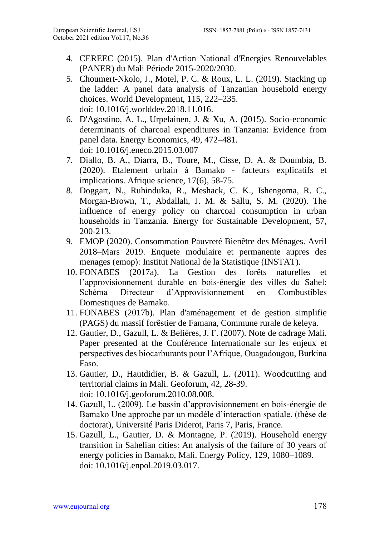- 4. CEREEC (2015). Plan d'Action National d'Energies Renouvelables (PANER) du Mali Période 2015-2020/2030.
- 5. Choumert-Nkolo, J., Motel, P. C. & Roux, L. L. (2019). Stacking up the ladder: A panel data analysis of Tanzanian household energy choices. World Development, 115, 222–235. doi: 10.1016/j.worlddev.2018.11.016.
- 6. D'Agostino, A. L., Urpelainen, J. & Xu, A. (2015). Socio-economic determinants of charcoal expenditures in Tanzania: Evidence from panel data. Energy Economics, 49, 472–481. doi: 10.1016/j.eneco.2015.03.007
- 7. Diallo, B. A., Diarra, B., Toure, M., Cisse, D. A. & Doumbia, B. (2020). Etalement urbain à Bamako - facteurs explicatifs et implications. Afrique science, 17(6), 58-75.
- 8. Doggart, N., Ruhinduka, R., Meshack, C. K., Ishengoma, R. C., Morgan-Brown, T., Abdallah, J. M. & Sallu, S. M. (2020). The influence of energy policy on charcoal consumption in urban households in Tanzania. Energy for Sustainable Development, 57, 200-213.
- 9. EMOP (2020). Consommation Pauvreté Bienêtre des Ménages. Avril 2018–Mars 2019. Enquete modulaire et permanente aupres des menages (emop): Institut National de la Statistique (INSTAT).
- 10. FONABES (2017a). La Gestion des forêts naturelles et l'approvisionnement durable en bois-énergie des villes du Sahel: Schéma Directeur d'Approvisionnement en Combustibles Domestiques de Bamako.
- 11. FONABES (2017b). Plan d'aménagement et de gestion simplifie (PAGS) du massif forêstier de Famana, Commune rurale de keleya.
- 12. Gautier, D., Gazull, L. & Belières, J. F. (2007). Note de cadrage Mali. Paper presented at the Conférence Internationale sur les enjeux et perspectives des biocarburants pour l'Afrique, Ouagadougou, Burkina Faso.
- 13. Gautier, D., Hautdidier, B. & Gazull, L. (2011). Woodcutting and territorial claims in Mali. Geoforum, 42, 28-39. doi: 10.1016/j.geoforum.2010.08.008.
- 14. Gazull, L. (2009). Le bassin d'approvisionnement en bois-énergie de Bamako Une approche par un modèle d'interaction spatiale. (thèse de doctorat), Université Paris Diderot, Paris 7, Paris, France.
- 15. Gazull, L., Gautier, D. & Montagne, P. (2019). Household energy transition in Sahelian cities: An analysis of the failure of 30 years of energy policies in Bamako, Mali. Energy Policy, 129, 1080–1089. doi: 10.1016/j.enpol.2019.03.017.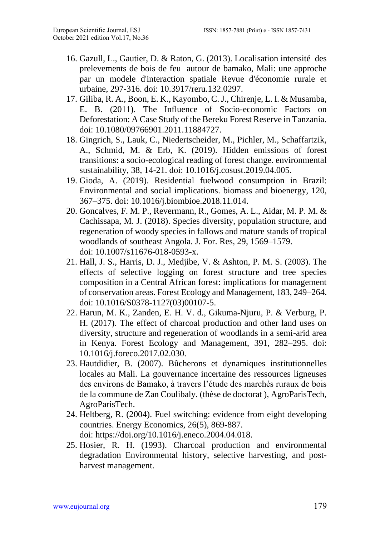- 16. Gazull, L., Gautier, D. & Raton, G. (2013). Localisation intensité des prelevements de bois de feu autour de bamako, Mali: une approche par un modele d'interaction spatiale Revue d'économie rurale et urbaine, 297-316. doi: 10.3917/reru.132.0297.
- 17. Giliba, R. A., Boon, E. K., Kayombo, C. J., Chirenje, L. I. & Musamba, E. B. (2011). The Influence of Socio-economic Factors on Deforestation: A Case Study of the Bereku Forest Reserve in Tanzania. doi: 10.1080/09766901.2011.11884727.
- 18. Gingrich, S., Lauk, C., Niedertscheider, M., Pichler, M., Schaffartzik, A., Schmid, M. & Erb, K. (2019). Hidden emissions of forest transitions: a socio-ecological reading of forest change. environmental sustainability, 38, 14-21. doi: 10.1016/j.cosust.2019.04.005.
- 19. Gioda, A. (2019). Residential fuelwood consumption in Brazil: Environmental and social implications. biomass and bioenergy, 120, 367–375. doi: 10.1016/j.biombioe.2018.11.014.
- 20. Goncalves, F. M. P., Revermann, R., Gomes, A. L., Aidar, M. P. M. & Cachissapa, M. J. (2018). Species diversity, population structure, and regeneration of woody species in fallows and mature stands of tropical woodlands of southeast Angola. J. For. Res, 29, 1569–1579. doi: 10.1007/s11676-018-0593-x.
- 21. Hall, J. S., Harris, D. J., Medjibe, V. & Ashton, P. M. S. (2003). The effects of selective logging on forest structure and tree species composition in a Central African forest: implications for management of conservation areas. Forest Ecology and Management, 183, 249–264. doi: 10.1016/S0378-1127(03)00107-5.
- 22. Harun, M. K., Zanden, E. H. V. d., Gikuma-Njuru, P. & Verburg, P. H. (2017). The effect of charcoal production and other land uses on diversity, structure and regeneration of woodlands in a semi-arid area in Kenya. Forest Ecology and Management, 391, 282–295. doi: 10.1016/j.foreco.2017.02.030.
- 23. Hautdidier, B. (2007). Bûcherons et dynamiques institutionnelles locales au Mali. La gouvernance incertaine des ressources ligneuses des environs de Bamako, à travers l'étude des marchés ruraux de bois de la commune de Zan Coulibaly. (thèse de doctorat ), AgroParisTech, AgroParisTech.
- 24. Heltberg, R. (2004). Fuel switching: evidence from eight developing countries. Energy Economics, 26(5), 869-887. doi: https://doi.org/10.1016/j.eneco.2004.04.018.
- 25. Hosier, R. H. (1993). Charcoal production and environmental degradation Environmental history, selective harvesting, and postharvest management.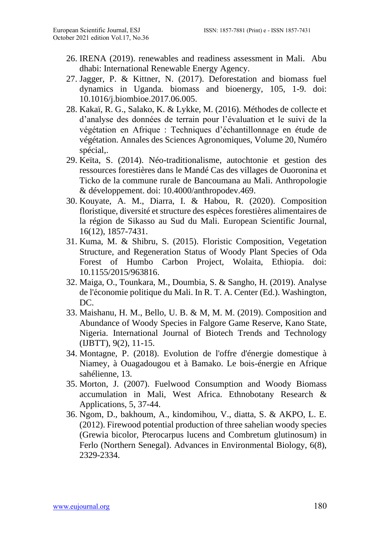- 26. IRENA (2019). renewables and readiness assessment in Mali. Abu dhabi: International Renewable Energy Agency.
- 27. Jagger, P. & Kittner, N. (2017). Deforestation and biomass fuel dynamics in Uganda. biomass and bioenergy, 105, 1-9. doi: 10.1016/j.biombioe.2017.06.005.
- 28. Kakaï, R. G., Salako, K. & Lykke, M. (2016). Méthodes de collecte et d'analyse des données de terrain pour l'évaluation et le suivi de la végétation en Afrique : Techniques d'échantillonnage en étude de végétation. Annales des Sciences Agronomiques, Volume 20, Numéro spécial,.
- 29. Keïta, S. (2014). Néo-traditionalisme, autochtonie et gestion des ressources forestières dans le Mandé Cas des villages de Ouoronina et Ticko de la commune rurale de Bancoumana au Mali. Anthropologie & développement. doi: 10.4000/anthropodev.469.
- 30. Kouyate, A. M., Diarra, I. & Habou, R. (2020). Composition floristique, diversité et structure des espèces forestières alimentaires de la région de Sikasso au Sud du Mali. European Scientific Journal, 16(12), 1857-7431.
- 31. Kuma, M. & Shibru, S. (2015). Floristic Composition, Vegetation Structure, and Regeneration Status of Woody Plant Species of Oda Forest of Humbo Carbon Project, Wolaita, Ethiopia. doi: 10.1155/2015/963816.
- 32. Maiga, O., Tounkara, M., Doumbia, S. & Sangho, H. (2019). Analyse de l'économie politique du Mali. In R. T. A. Center (Ed.). Washington, DC.
- 33. Maishanu, H. M., Bello, U. B. & M, M. M. (2019). Composition and Abundance of Woody Species in Falgore Game Reserve, Kano State, Nigeria. International Journal of Biotech Trends and Technology (IJBTT), 9(2), 11-15.
- 34. Montagne, P. (2018). Evolution de l'offre d'énergie domestique à Niamey, à Ouagadougou et à Bamako. Le bois-énergie en Afrique sahélienne, 13.
- 35. Morton, J. (2007). Fuelwood Consumption and Woody Biomass accumulation in Mali, West Africa. Ethnobotany Research & Applications, 5, 37-44.
- 36. Ngom, D., bakhoum, A., kindomihou, V., diatta, S. & AKPO, L. E. (2012). Firewood potential production of three sahelian woody species (Grewia bicolor, Pterocarpus lucens and Combretum glutinosum) in Ferlo (Northern Senegal). Advances in Environmental Biology, 6(8), 2329-2334.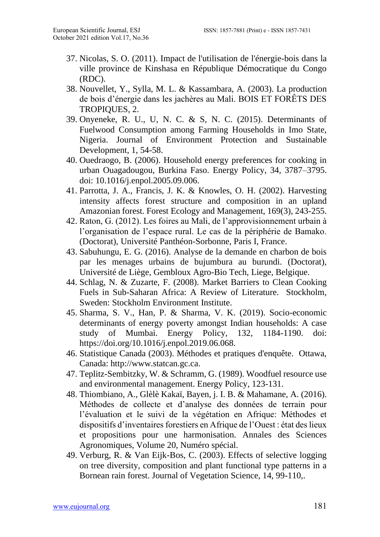- 37. Nicolas, S. O. (2011). Impact de l'utilisation de l'énergie-bois dans la ville province de Kinshasa en République Démocratique du Congo (RDC).
- 38. Nouvellet, Y., Sylla, M. L. & Kassambara, A. (2003). La production de bois d'énergie dans les jachères au Mali. BOIS ET FORÊTS DES TROPIQUES, 2.
- 39. Onyeneke, R. U., U, N. C. & S, N. C. (2015). Determinants of Fuelwood Consumption among Farming Households in Imo State, Nigeria. Journal of Environment Protection and Sustainable Development, 1, 54-58.
- 40. Ouedraogo, B. (2006). Household energy preferences for cooking in urban Ouagadougou, Burkina Faso. Energy Policy, 34, 3787–3795. doi: 10.1016/j.enpol.2005.09.006.
- 41. Parrotta, J. A., Francis, J. K. & Knowles, O. H. (2002). Harvesting intensity affects forest structure and composition in an upland Amazonian forest. Forest Ecology and Management, 169(3), 243-255.
- 42. Raton, G. (2012). Les foires au Mali, de l'approvisionnement urbain à l'organisation de l'espace rural. Le cas de la périphérie de Bamako. (Doctorat), Université Panthéon-Sorbonne, Paris I, France.
- 43. Sabuhungu, E. G. (2016). Analyse de la demande en charbon de bois par les menages urbains de bujumbura au burundi. (Doctorat), Université de Liège, Gembloux Agro-Bio Tech, Liege, Belgique.
- 44. Schlag, N. & Zuzarte, F. (2008). Market Barriers to Clean Cooking Fuels in Sub-Saharan Africa: A Review of Literature. Stockholm, Sweden: Stockholm Environment Institute.
- 45. Sharma, S. V., Han, P. & Sharma, V. K. (2019). Socio-economic determinants of energy poverty amongst Indian households: A case study of Mumbai. Energy Policy, 132, 1184-1190. doi: https://doi.org/10.1016/j.enpol.2019.06.068.
- 46. Statistique Canada (2003). Méthodes et pratiques d'enquête. Ottawa, Canada: [http://www.statcan.gc.ca.](http://www.statcan.gc.ca/)
- 47. Teplitz-Sembitzky, W. & Schramm, G. (1989). Woodfuel resource use and environmental management. Energy Policy, 123-131.
- 48. Thiombiano, A., Glèlè Kakaï, Bayen, j. I. B. & Mahamane, A. (2016). Méthodes de collecte et d'analyse des données de terrain pour l'évaluation et le suivi de la végétation en Afrique: Méthodes et dispositifs d'inventaires forestiers en Afrique de l'Ouest : état des lieux et propositions pour une harmonisation. Annales des Sciences Agronomiques, Volume 20, Numéro spécial.
- 49. Verburg, R. & Van Eijk-Bos, C. (2003). Effects of selective logging on tree diversity, composition and plant functional type patterns in a Bornean rain forest. Journal of Vegetation Science, 14, 99-110,.